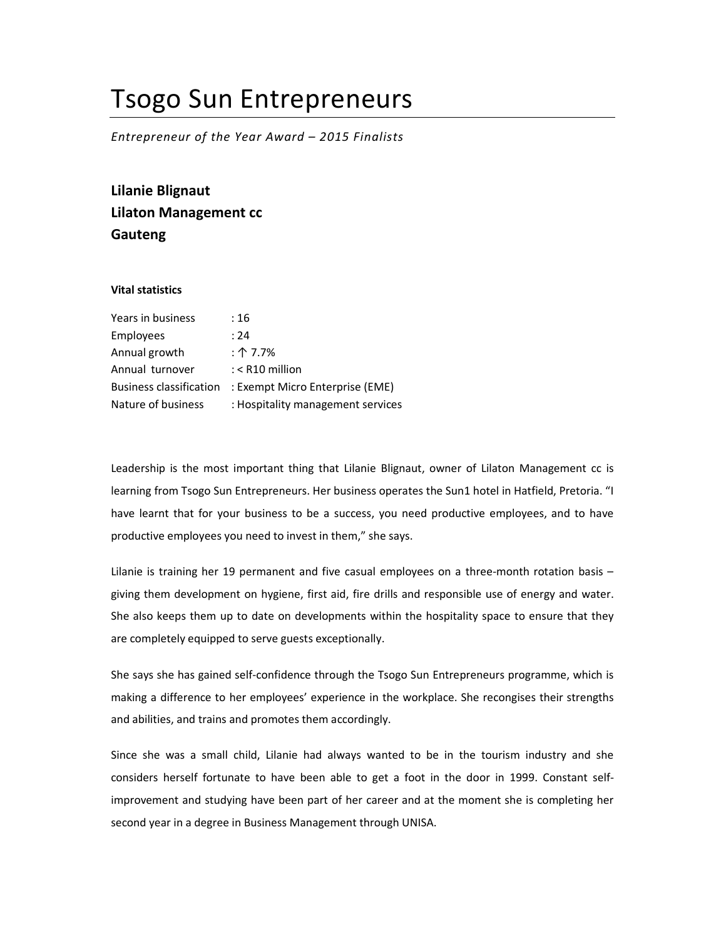## Tsogo Sun Entrepreneurs

Entrepreneur of the Year Award – 2015 Finalists

Lilanie Blignaut Lilaton Management cc Gauteng

## Vital statistics

| Years in business              | :16                               |
|--------------------------------|-----------------------------------|
| Employees                      | : 24                              |
| Annual growth                  | : $\uparrow$ 7.7%                 |
| Annual turnover                | $:$ < R10 million                 |
| <b>Business classification</b> | : Exempt Micro Enterprise (EME)   |
| Nature of business             | : Hospitality management services |

Leadership is the most important thing that Lilanie Blignaut, owner of Lilaton Management cc is learning from Tsogo Sun Entrepreneurs. Her business operates the Sun1 hotel in Hatfield, Pretoria. "I have learnt that for your business to be a success, you need productive employees, and to have productive employees you need to invest in them," she says.

Lilanie is training her 19 permanent and five casual employees on a three-month rotation basis – giving them development on hygiene, first aid, fire drills and responsible use of energy and water. She also keeps them up to date on developments within the hospitality space to ensure that they are completely equipped to serve guests exceptionally.

She says she has gained self-confidence through the Tsogo Sun Entrepreneurs programme, which is making a difference to her employees' experience in the workplace. She recongises their strengths and abilities, and trains and promotes them accordingly.

Since she was a small child, Lilanie had always wanted to be in the tourism industry and she considers herself fortunate to have been able to get a foot in the door in 1999. Constant selfimprovement and studying have been part of her career and at the moment she is completing her second year in a degree in Business Management through UNISA.